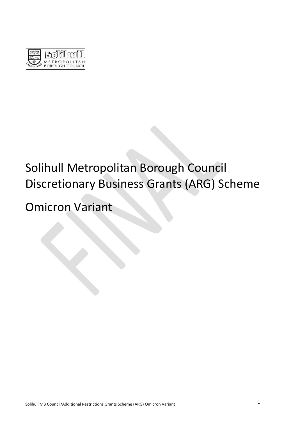

# Solihull Metropolitan Borough Council Discretionary Business Grants (ARG) Scheme

# Omicron Variant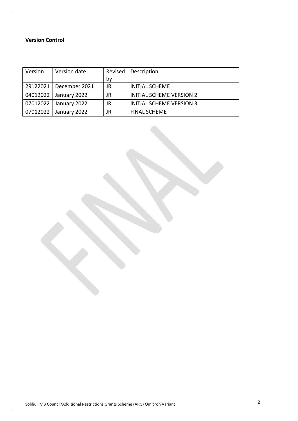#### **Version Control**

| Version  | Version date             | Revised | Description                     |
|----------|--------------------------|---------|---------------------------------|
|          |                          | bv      |                                 |
|          | 29122021   December 2021 | JR      | <b>INITIAL SCHEME</b>           |
| 04012022 | January 2022             | JR      | <b>INITIAL SCHEME VERSION 2</b> |
| 07012022 | January 2022             | JR      | <b>INITIAL SCHEME VERSION 3</b> |
| 07012022 | January 2022             | JR      | <b>FINAL SCHEME</b>             |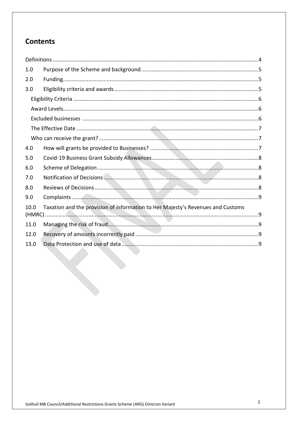# **Contents**

| 1.0  |                                                                                 |  |
|------|---------------------------------------------------------------------------------|--|
| 2.0  |                                                                                 |  |
| 3.0  |                                                                                 |  |
|      |                                                                                 |  |
|      |                                                                                 |  |
|      |                                                                                 |  |
|      |                                                                                 |  |
|      |                                                                                 |  |
| 4.0  |                                                                                 |  |
| 5.0  |                                                                                 |  |
| 6.0  |                                                                                 |  |
| 7.0  |                                                                                 |  |
| 8.0  |                                                                                 |  |
| 9.0  |                                                                                 |  |
| 10.0 | Taxation and the provision of information to Her Majesty's Revenues and Customs |  |
| 11.0 |                                                                                 |  |
| 12.0 |                                                                                 |  |
| 13.0 |                                                                                 |  |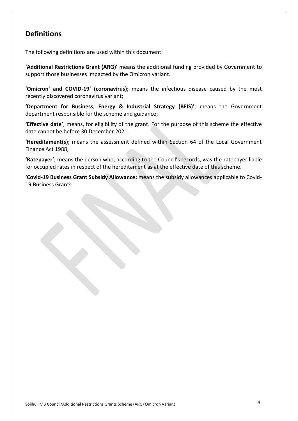# <span id="page-3-0"></span>**Definitions**

The following definitions are used within this document:

**'Additional Restrictions Grant (ARG)'** means the additional funding provided by Government to support those businesses impacted by the Omicron variant.

**'Omicron' and COVID-19' (coronavirus);** means the infectious disease caused by the most recently discovered coronavirus variant;

**'Department for Business, Energy & Industrial Strategy (BEIS)**'; means the Government department responsible for the scheme and guidance;

**'Effective date'**; means, for eligibility of the grant. For the purpose of this scheme the effective date cannot be before 30 December 2021.

**'Hereditament(s)**; means the assessment defined within Section 64 of the Local Government Finance Act 1988;

**'Ratepayer'**; means the person who, according to the Council's records, was the ratepayer liable for occupied rates in respect of the hereditament as at the effective date of this scheme.

**'Covid-19 Business Grant Subsidy Allowance;** means the subsidy allowances applicable to Covid-19 Business Grants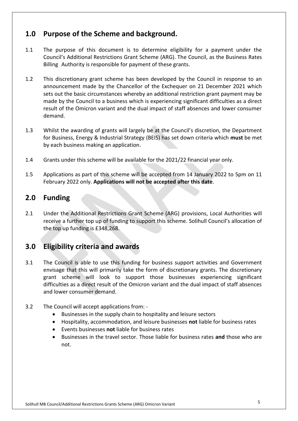## <span id="page-4-0"></span>**1.0 Purpose of the Scheme and background.**

- 1.1 The purpose of this document is to determine eligibility for a payment under the Council's Additional Restrictions Grant Scheme (ARG). The Council, as the Business Rates Billing Authority is responsible for payment of these grants.
- 1.2 This discretionary grant scheme has been developed by the Council in response to an announcement made by the Chancellor of the Exchequer on 21 December 2021 which sets out the basic circumstances whereby an additional restriction grant payment may be made by the Council to a business which is experiencing significant difficulties as a direct result of the Omicron variant and the dual impact of staff absences and lower consumer demand.
- 1.3 Whilst the awarding of grants will largely be at the Council's discretion, the Department for Business, Energy & Industrial Strategy (BEIS) has set down criteria which **must** be met by each business making an application.
- 1.4 Grants under this scheme will be available for the 2021/22 financial year only.
- 1.5 Applications as part of this scheme will be accepted from 14 January 2022 to 5pm on 11 February 2022 only. **Applications will not be accepted after this date**.

# <span id="page-4-1"></span>**2.0 Funding**

2.1 Under the Additional Restrictions Grant Scheme (ARG) provisions, Local Authorities will receive a further top up of funding to support this scheme. Solihull Council's allocation of the top up funding is £348,268.

## <span id="page-4-2"></span>**3.0 Eligibility criteria and awards**

- 3.1 The Council is able to use this funding for business support activities and Government envisage that this will primarily take the form of discretionary grants. The discretionary grant scheme will look to support those businesses experiencing significant difficulties as a direct result of the Omicron variant and the dual impact of staff absences and lower consumer demand.
- 3.2 The Council will accept applications from:
	- Businesses in the supply chain to hospitality and leisure sectors
	- Hospitality, accommodation, and leisure businesses **not** liable for business rates
	- Events businesses **not** liable for business rates
	- Businesses in the travel sector. Those liable for business rates **and** those who are not.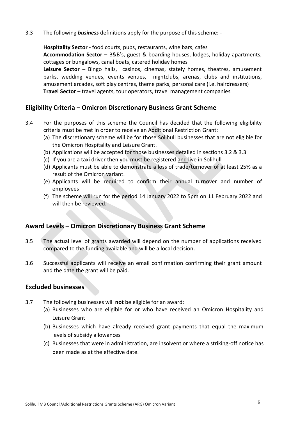3.3 The following *business* definitions apply for the purpose of this scheme: -

**Hospitality Sector** - food courts, pubs, restaurants, wine bars, cafes **Accommodation Sector** – B&B's, guest & boarding houses, lodges, holiday apartments, cottages or bungalows, canal boats, catered holiday homes **Leisure Sector** – Bingo halls, casinos, cinemas, stately homes, theatres, amusement parks, wedding venues, events venues, nightclubs, arenas, clubs and institutions, amusement arcades, soft play centres, theme parks, personal care (i.e. hairdressers) **Travel Sector** – travel agents, tour operators, travel management companies

#### <span id="page-5-0"></span>**Eligibility Criteria – Omicron Discretionary Business Grant Scheme**

- <span id="page-5-1"></span>3.4 For the purposes of this scheme the Council has decided that the following eligibility criteria must be met in order to receive an Additional Restriction Grant:
	- (a) The discretionary scheme will be for those Solihull businesses that are not eligible for the Omicron Hospitality and Leisure Grant.
	- (b) Applications will be accepted for those businesses detailed in sections 3.2 & 3.3
	- (c) If you are a taxi driver then you must be registered and live in Solihull
	- (d) Applicants must be able to demonstrate a loss of trade/turnover of at least 25% as a result of the Omicron variant.
	- (e) Applicants will be required to confirm their annual turnover and number of employees
	- (f) The scheme will run for the period 14 January 2022 to 5pm on 11 February 2022 and will then be reviewed.

#### **Award Levels – Omicron Discretionary Business Grant Scheme**

- 3.5 The actual level of grants awarded will depend on the number of applications received compared to the funding available and will be a local decision.
- 3.6 Successful applicants will receive an email confirmation confirming their grant amount and the date the grant will be paid.

#### <span id="page-5-2"></span>**Excluded businesses**

- 3.7 The following businesses will **not** be eligible for an award:
	- (a) Businesses who are eligible for or who have received an Omicron Hospitality and Leisure Grant
	- (b) Businesses which have already received grant payments that equal the maximum levels of subsidy allowances
	- (c) Businesses that were in administration, are insolvent or where a striking-off notice has been made as at the effective date.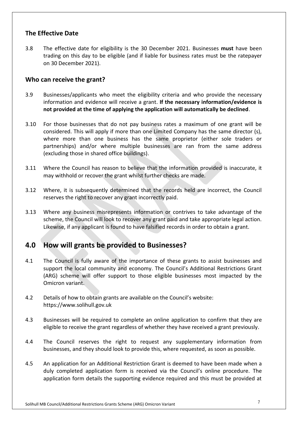#### <span id="page-6-0"></span>**The Effective Date**

3.8 The effective date for eligibility is the 30 December 2021. Businesses **must** have been trading on this day to be eligible (and if liable for business rates must be the ratepayer on 30 December 2021).

#### <span id="page-6-1"></span>**Who can receive the grant?**

- 3.9 Businesses/applicants who meet the eligibility criteria and who provide the necessary information and evidence will receive a grant. **If the necessary information/evidence is not provided at the time of applying the application will automatically be declined**.
- 3.10 For those businesses that do not pay business rates a maximum of one grant will be considered. This will apply if more than one Limited Company has the same director (s), where more than one business has the same proprietor (either sole traders or partnerships) and/or where multiple businesses are ran from the same address (excluding those in shared office buildings).
- 3.11 Where the Council has reason to believe that the information provided is inaccurate, it may withhold or recover the grant whilst further checks are made.
- 3.12 Where, it is subsequently determined that the records held are incorrect, the Council reserves the right to recover any grant incorrectly paid.
- 3.13 Where any business misrepresents information or contrives to take advantage of the scheme, the Council will look to recover any grant paid and take appropriate legal action. Likewise, if any applicant is found to have falsified records in order to obtain a grant.

## <span id="page-6-2"></span>**4.0 How will grants be provided to Businesses?**

- 4.1 The Council is fully aware of the importance of these grants to assist businesses and support the local community and economy. The Council's Additional Restrictions Grant (ARG) scheme will offer support to those eligible businesses most impacted by the Omicron variant.
- 4.2 Details of how to obtain grants are available on the Council's website: https://www.solihull.gov.uk
- 4.3 Businesses will be required to complete an online application to confirm that they are eligible to receive the grant regardless of whether they have received a grant previously.
- 4.4 The Council reserves the right to request any supplementary information from businesses, and they should look to provide this, where requested, as soon as possible.
- 4.5 An application for an Additional Restriction Grant is deemed to have been made when a duly completed application form is received via the Council's online procedure. The application form details the supporting evidence required and this must be provided at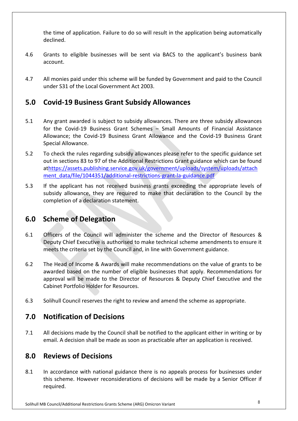the time of application. Failure to do so will result in the application being automatically declined.

- 4.6 Grants to eligible businesses will be sent via BACS to the applicant's business bank account.
- 4.7 All monies paid under this scheme will be funded by Government and paid to the Council under S31 of the Local Government Act 2003.

## <span id="page-7-0"></span>**5.0 Covid-19 Business Grant Subsidy Allowances**

- 5.1 Any grant awarded is subject to subsidy allowances. There are three subsidy allowances for the Covid-19 Business Grant Schemes – Small Amounts of Financial Assistance Allowance; the Covid-19 Business Grant Allowance and the Covid-19 Business Grant Special Allowance.
- 5.2 To check the rules regarding subsidy allowances please refer to the specific guidance set out in sections 83 to 97 of the Additional Restrictions Grant guidance which can be found a[thttps://assets.publishing.service.gov.uk/government/uploads/system/uploads/attach](https://assets.publishing.service.gov.uk/government/uploads/system/uploads/attachment_data/file/1044351/additional-restrictions-grant-la-guidance.pdf) [ment\\_data/file/1044351/additional-restrictions-grant-la-guidance.pdf](https://assets.publishing.service.gov.uk/government/uploads/system/uploads/attachment_data/file/1044351/additional-restrictions-grant-la-guidance.pdf)
- 5.3 If the applicant has not received business grants exceeding the appropriate levels of subsidy allowance, they are required to make that declaration to the Council by the completion of a declaration statement.

## <span id="page-7-1"></span>**6.0 Scheme of Delegation**

- 6.1 Officers of the Council will administer the scheme and the Director of Resources & Deputy Chief Executive is authorised to make technical scheme amendments to ensure it meets the criteria set by the Council and, in line with Government guidance.
- 6.2 The Head of Income & Awards will make recommendations on the value of grants to be awarded based on the number of eligible businesses that apply. Recommendations for approval will be made to the Director of Resources & Deputy Chief Executive and the Cabinet Portfolio Holder for Resources.
- 6.3 Solihull Council reserves the right to review and amend the scheme as appropriate.

## <span id="page-7-2"></span>**7.0 Notification of Decisions**

7.1 All decisions made by the Council shall be notified to the applicant either in writing or by email. A decision shall be made as soon as practicable after an application is received.

## <span id="page-7-3"></span>**8.0 Reviews of Decisions**

8.1 In accordance with national guidance there is no appeals process for businesses under this scheme. However reconsiderations of decisions will be made by a Senior Officer if required.